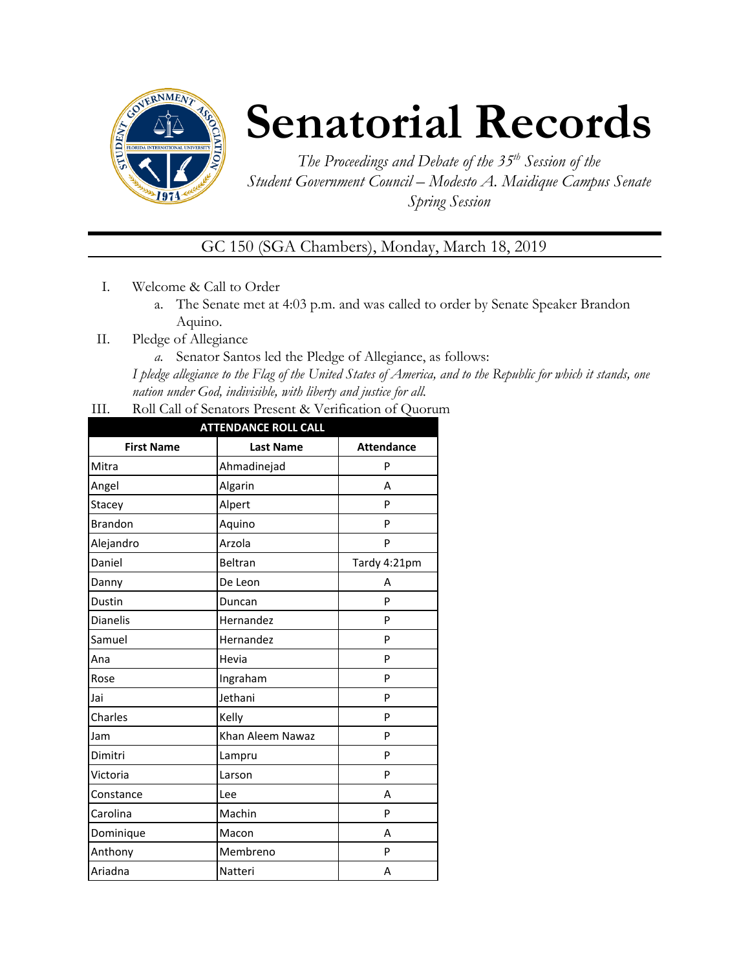

# **Senatorial Records**

*The Proceedings and Debate of the 35 th Session of the Student Government Council – Modesto A. Maidique Campus Senate Spring Session*

GC 150 (SGA Chambers), Monday, March 18, 2019

- I. Welcome & Call to Order
	- a. The Senate met at 4:03 p.m. and was called to order by Senate Speaker Brandon Aquino.
- II. Pledge of Allegiance
	- *a.* Senator Santos led the Pledge of Allegiance, as follows:

*I pledge allegiance to the Flag of the United States of America, and to the Republic for which it stands, one nation under God, indivisible, with liberty and justice for all.*

III. Roll Call of Senators Present & Verification of Quorum

| <b>ATTENDANCE ROLL CALL</b> |                  |                   |  |  |
|-----------------------------|------------------|-------------------|--|--|
| <b>First Name</b>           | <b>Last Name</b> | <b>Attendance</b> |  |  |
| Mitra                       | Ahmadinejad      | P                 |  |  |
| Angel                       | Algarin          | A                 |  |  |
| Stacey                      | Alpert           | P                 |  |  |
| <b>Brandon</b>              | Aquino           | P                 |  |  |
| Alejandro                   | Arzola           | P                 |  |  |
| Daniel                      | Beltran          | Tardy 4:21pm      |  |  |
| Danny                       | De Leon          | A                 |  |  |
| Dustin                      | Duncan           | P                 |  |  |
| <b>Dianelis</b>             | Hernandez        | P                 |  |  |
| Samuel                      | Hernandez        | P                 |  |  |
| Ana                         | Hevia            | P                 |  |  |
| Rose                        | Ingraham         | P                 |  |  |
| Jai                         | Jethani          | P                 |  |  |
| Charles                     | Kelly            | P                 |  |  |
| Jam                         | Khan Aleem Nawaz | P                 |  |  |
| Dimitri                     | Lampru           | P                 |  |  |
| Victoria                    | Larson           | P                 |  |  |
| Constance                   | Lee              | A                 |  |  |
| Carolina                    | Machin           | P                 |  |  |
| Dominique                   | Macon            | A                 |  |  |
| Anthony                     | Membreno         | P                 |  |  |
| Ariadna                     | Natteri          | А                 |  |  |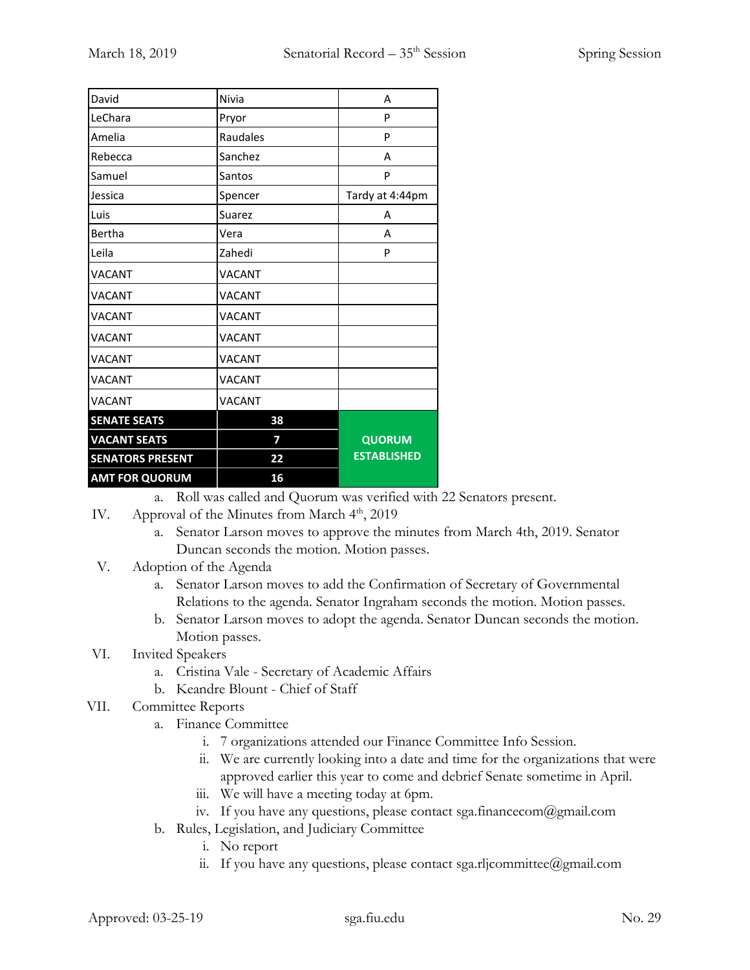| David                   | Nivia         | A                  |
|-------------------------|---------------|--------------------|
| LeChara                 | Pryor         | P                  |
| Amelia                  | Raudales      | P                  |
| Rebecca                 | Sanchez       | A                  |
| Samuel                  | Santos        | P                  |
| Jessica                 | Spencer       | Tardy at 4:44pm    |
| Luis                    | Suarez        | A                  |
| Bertha                  | Vera          | А                  |
| Leila                   | Zahedi        | P                  |
| <b>VACANT</b>           | <b>VACANT</b> |                    |
| <b>VACANT</b>           | <b>VACANT</b> |                    |
| <b>VACANT</b>           | <b>VACANT</b> |                    |
| <b>VACANT</b>           | <b>VACANT</b> |                    |
| <b>VACANT</b>           | <b>VACANT</b> |                    |
| <b>VACANT</b>           | <b>VACANT</b> |                    |
| <b>VACANT</b>           | <b>VACANT</b> |                    |
| <b>SENATE SEATS</b>     | 38            |                    |
| <b>VACANT SEATS</b>     | 7             | QUORUM             |
| <b>SENATORS PRESENT</b> | 22            | <b>ESTABLISHED</b> |
| <b>AMT FOR QUORUM</b>   | 16            |                    |

a. Roll was called and Quorum was verified with 22 Senators present.

- IV. Approval of the Minutes from March  $4<sup>th</sup>$ , 2019
	- a. Senator Larson moves to approve the minutes from March 4th, 2019. Senator Duncan seconds the motion. Motion passes.
- V. Adoption of the Agenda
	- a. Senator Larson moves to add the Confirmation of Secretary of Governmental Relations to the agenda. Senator Ingraham seconds the motion. Motion passes.
	- b. Senator Larson moves to adopt the agenda. Senator Duncan seconds the motion. Motion passes.

# VI. Invited Speakers

- a. Cristina Vale Secretary of Academic Affairs
- b. Keandre Blount Chief of Staff
- VII. Committee Reports
	- a. Finance Committee
		- i. 7 organizations attended our Finance Committee Info Session.
		- ii. We are currently looking into a date and time for the organizations that were approved earlier this year to come and debrief Senate sometime in April.
		- iii. We will have a meeting today at 6pm.
		- iv. If you have any questions, please contact sga.financecom@gmail.com
	- b. Rules, Legislation, and Judiciary Committee
		- i. No report
		- ii. If you have any questions, please contact sga.rljcommittee@gmail.com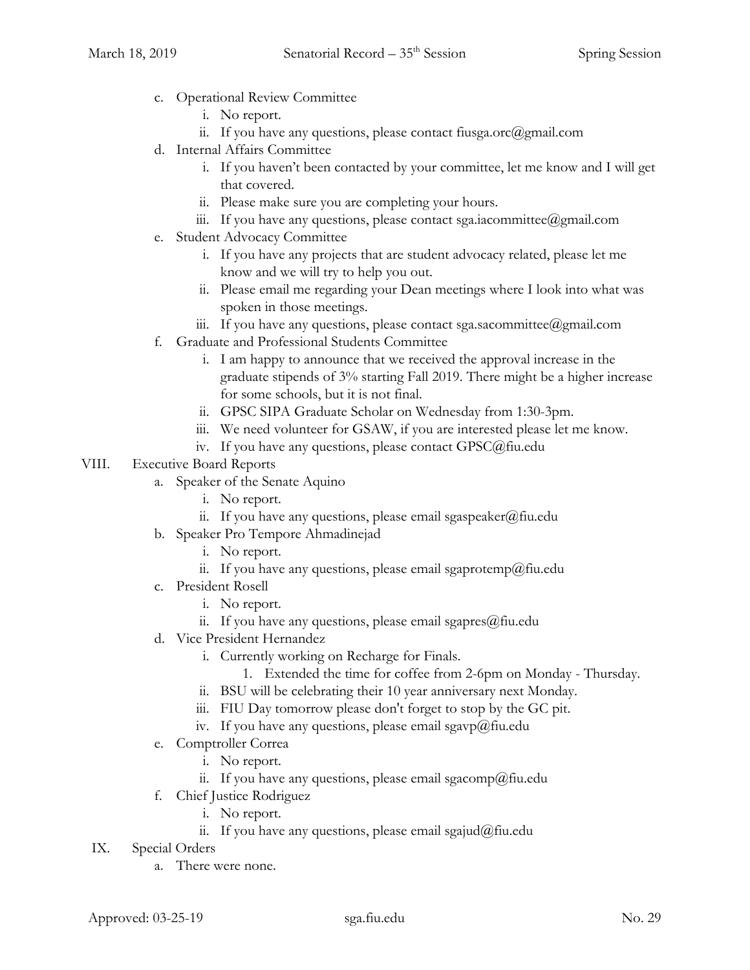- c. Operational Review Committee
	- i. No report.
	- ii. If you have any questions, please contact fiusga.orc@gmail.com
- d. Internal Affairs Committee
	- i. If you haven't been contacted by your committee, let me know and I will get that covered.
	- ii. Please make sure you are completing your hours.
	- iii. If you have any questions, please contact sga.iacommittee@gmail.com
- e. Student Advocacy Committee
	- i. If you have any projects that are student advocacy related, please let me know and we will try to help you out.
	- ii. Please email me regarding your Dean meetings where I look into what was spoken in those meetings.
	- iii. If you have any questions, please contact sga.sacommittee@gmail.com
- f. Graduate and Professional Students Committee
	- i. I am happy to announce that we received the approval increase in the graduate stipends of 3% starting Fall 2019. There might be a higher increase for some schools, but it is not final.
	- ii. GPSC SIPA Graduate Scholar on Wednesday from 1:30-3pm.
	- iii. We need volunteer for GSAW, if you are interested please let me know.
	- iv. If you have any questions, please contact GPSC@fiu.edu

#### VIII. Executive Board Reports

- a. Speaker of the Senate Aquino
	- i. No report.
	- ii. If you have any questions, please email sgaspeaker@fiu.edu
- b. Speaker Pro Tempore Ahmadinejad
	- i. No report.
	- ii. If you have any questions, please email sgaprotemp@fiu.edu
- c. President Rosell
	- i. No report.
	- ii. If you have any questions, please email sgapres $@$ fiu.edu
- d. Vice President Hernandez
	- i. Currently working on Recharge for Finals.
		- 1. Extended the time for coffee from 2-6pm on Monday Thursday.
	- ii. BSU will be celebrating their 10 year anniversary next Monday.
	- iii. FIU Day tomorrow please don't forget to stop by the GC pit.
	- iv. If you have any questions, please email sgavp@fiu.edu
- e. Comptroller Correa
	- i. No report.
	- ii. If you have any questions, please email sgacomp@fiu.edu
- f. Chief Justice Rodriguez
	- i. No report.
	- ii. If you have any questions, please email sgajud@fiu.edu
- IX. Special Orders
	- a. There were none.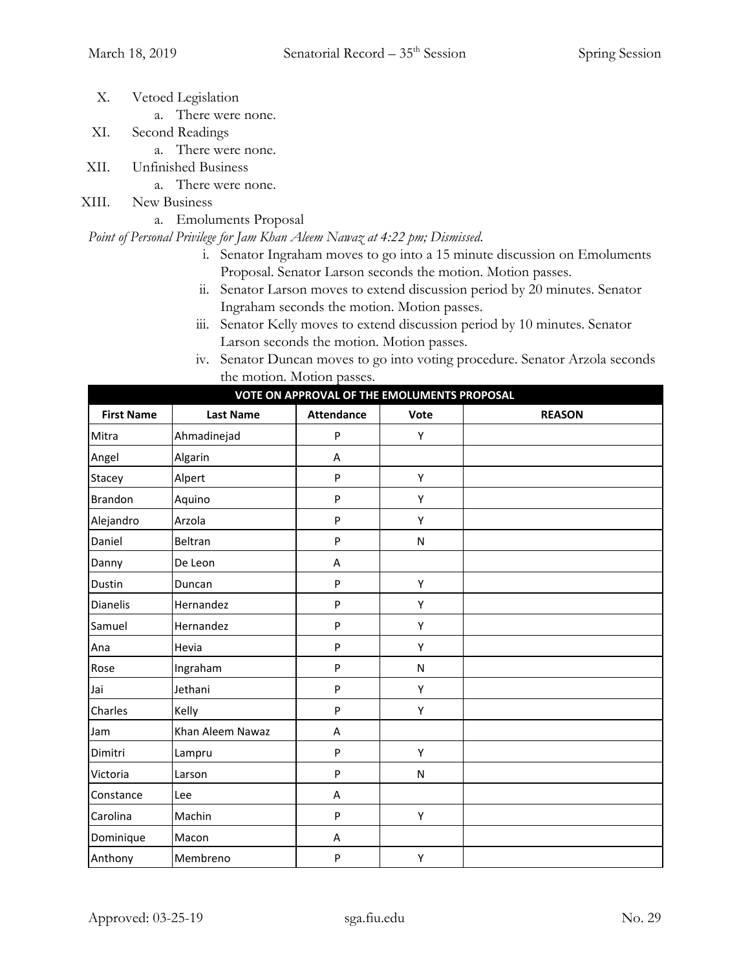- X. Vetoed Legislation
	- a. There were none.
- XI. Second Readings
	- a. There were none.
- XII. Unfinished Business
	- a. There were none.
- XIII. New Business
	- a. Emoluments Proposal

#### *Point of Personal Privilege for Jam Khan Aleem Nawaz at 4:22 pm; Dismissed*.

- i. Senator Ingraham moves to go into a 15 minute discussion on Emoluments Proposal. Senator Larson seconds the motion. Motion passes.
- ii. Senator Larson moves to extend discussion period by 20 minutes. Senator Ingraham seconds the motion. Motion passes.
- iii. Senator Kelly moves to extend discussion period by 10 minutes. Senator Larson seconds the motion. Motion passes.
- iv. Senator Duncan moves to go into voting procedure. Senator Arzola seconds the motion. Motion passes.

|                   |                  | VOIL ON AFFROVAL OF THE EMOLOMENTS FROM OSAL |           |               |
|-------------------|------------------|----------------------------------------------|-----------|---------------|
| <b>First Name</b> | <b>Last Name</b> | <b>Attendance</b>                            | Vote      | <b>REASON</b> |
| Mitra             | Ahmadinejad      | P                                            | Υ         |               |
| Angel             | Algarin          | A                                            |           |               |
| Stacey            | Alpert           | P                                            | Υ         |               |
| Brandon           | Aquino           | P                                            | Υ         |               |
| Alejandro         | Arzola           | P                                            | Υ         |               |
| Daniel            | Beltran          | P                                            | ${\sf N}$ |               |
| Danny             | De Leon          | A                                            |           |               |
| Dustin            | Duncan           | P                                            | Υ         |               |
| Dianelis          | Hernandez        | P                                            | Υ         |               |
| Samuel            | Hernandez        | P                                            | Υ         |               |
| Ana               | Hevia            | P                                            | Υ         |               |
| Rose              | Ingraham         | P                                            | N         |               |
| Jai               | Jethani          | P                                            | Υ         |               |
| Charles           | Kelly            | P                                            | Υ         |               |
| Jam               | Khan Aleem Nawaz | A                                            |           |               |
| Dimitri           | Lampru           | P                                            | Υ         |               |
| Victoria          | Larson           | P                                            | ${\sf N}$ |               |
| Constance         | Lee              | A                                            |           |               |
| Carolina          | Machin           | P                                            | Υ         |               |
| Dominique         | Macon            | A                                            |           |               |
| Anthony           | Membreno         | P                                            | Υ         |               |

**VOTE ON APPROVAL OF THE EMOLUMENTS PROPOSAL**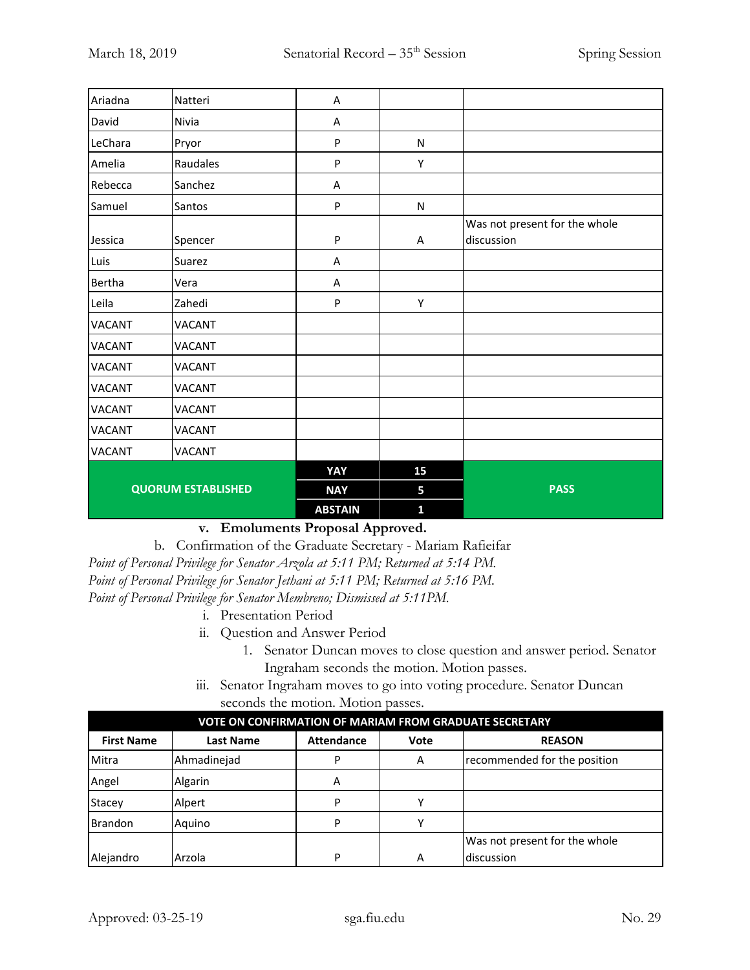| Ariadna                   | Natteri       | A              |              |                                             |
|---------------------------|---------------|----------------|--------------|---------------------------------------------|
| David                     | Nivia         | Α              |              |                                             |
| LeChara                   | Pryor         | P              | N            |                                             |
| Amelia                    | Raudales      | P              | Υ            |                                             |
| Rebecca                   | Sanchez       | Α              |              |                                             |
| Samuel                    | Santos        | P              | ${\sf N}$    |                                             |
| Jessica                   | Spencer       | P              | A            | Was not present for the whole<br>discussion |
| Luis                      | Suarez        | A              |              |                                             |
| Bertha                    | Vera          | Α              |              |                                             |
| Leila                     | Zahedi        | P              | Υ            |                                             |
| <b>VACANT</b>             | <b>VACANT</b> |                |              |                                             |
| <b>VACANT</b>             | <b>VACANT</b> |                |              |                                             |
| <b>VACANT</b>             | <b>VACANT</b> |                |              |                                             |
| <b>VACANT</b>             | <b>VACANT</b> |                |              |                                             |
| <b>VACANT</b>             | <b>VACANT</b> |                |              |                                             |
| <b>VACANT</b>             | <b>VACANT</b> |                |              |                                             |
| <b>VACANT</b>             | <b>VACANT</b> |                |              |                                             |
|                           |               | YAY            | 15           |                                             |
| <b>QUORUM ESTABLISHED</b> |               | <b>NAY</b>     | 5            | <b>PASS</b>                                 |
|                           |               | <b>ABSTAIN</b> | $\mathbf{1}$ |                                             |

# **v. Emoluments Proposal Approved.**

b. Confirmation of the Graduate Secretary - Mariam Rafieifar

*Point of Personal Privilege for Senator Arzola at 5:11 PM; Returned at 5:14 PM. Point of Personal Privilege for Senator Jethani at 5:11 PM; Returned at 5:16 PM. Point of Personal Privilege for Senator Membreno; Dismissed at 5:11PM.*

- i. Presentation Period
- ii. Question and Answer Period
	- 1. Senator Duncan moves to close question and answer period. Senator Ingraham seconds the motion. Motion passes.
- iii. Senator Ingraham moves to go into voting procedure. Senator Duncan seconds the motion. Motion passes.

| <b>VOTE ON CONFIRMATION OF MARIAM FROM GRADUATE SECRETARY</b> |                  |                   |      |                               |
|---------------------------------------------------------------|------------------|-------------------|------|-------------------------------|
| <b>First Name</b>                                             | <b>Last Name</b> | <b>Attendance</b> | Vote | <b>REASON</b>                 |
| Mitra                                                         | Ahmadinejad      | D                 | A    | recommended for the position  |
| Angel                                                         | Algarin          | Α                 |      |                               |
| Stacey                                                        | Alpert           | P                 |      |                               |
| Brandon                                                       | Aquino           | P                 |      |                               |
|                                                               |                  |                   |      | Was not present for the whole |
| Alejandro                                                     | Arzola           | P                 | А    | discussion                    |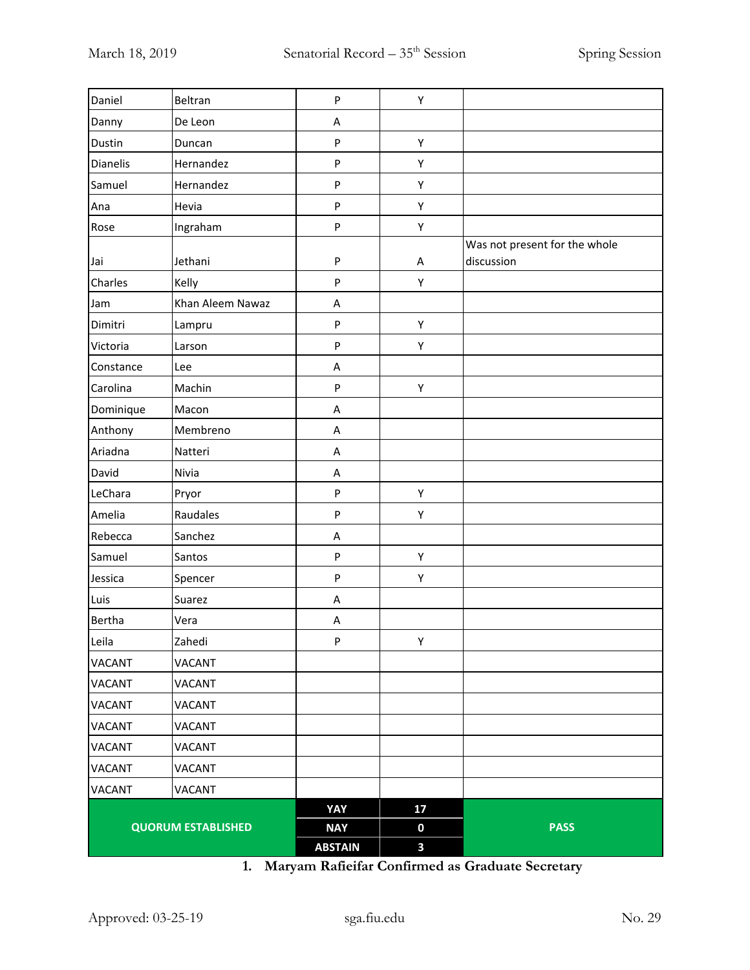|               |                           | <b>ABSTAIN</b> | 3  |                                             |
|---------------|---------------------------|----------------|----|---------------------------------------------|
|               | <b>QUORUM ESTABLISHED</b> | <b>NAY</b>     | 0  | <b>PASS</b>                                 |
|               |                           | YAY            | 17 |                                             |
| VACANT        | VACANT                    |                |    |                                             |
| VACANT        | VACANT                    |                |    |                                             |
| VACANT        | <b>VACANT</b>             |                |    |                                             |
| <b>VACANT</b> | <b>VACANT</b>             |                |    |                                             |
| VACANT        | VACANT                    |                |    |                                             |
| <b>VACANT</b> | <b>VACANT</b>             |                |    |                                             |
| VACANT        | <b>VACANT</b>             |                |    |                                             |
| Leila         | Zahedi                    | P              | Υ  |                                             |
| Bertha        | Vera                      | A              |    |                                             |
| Luis          | Suarez                    | A              |    |                                             |
| Jessica       | Spencer                   | ${\sf P}$      | Υ  |                                             |
| Samuel        | Santos                    | ${\sf P}$      | Υ  |                                             |
| Rebecca       | Sanchez                   | A              |    |                                             |
| Amelia        | Raudales                  | ${\sf P}$      | Υ  |                                             |
| LeChara       | Pryor                     | ${\sf P}$      | Υ  |                                             |
| David         | Nivia                     | A              |    |                                             |
| Ariadna       | Natteri                   | A              |    |                                             |
| Anthony       | Membreno                  | A              |    |                                             |
| Dominique     | Macon                     | A              |    |                                             |
| Carolina      | Machin                    | ${\sf P}$      | Υ  |                                             |
| Constance     | Lee                       | A              |    |                                             |
| Victoria      | Larson                    | ${\sf P}$      | Υ  |                                             |
| Dimitri       | Lampru                    | $\sf P$        | Υ  |                                             |
| Jam           | Khan Aleem Nawaz          | A              |    |                                             |
| Charles       | Kelly                     | ${\sf P}$      | Υ  |                                             |
| Jai           | Jethani                   | ${\sf P}$      | Α  | Was not present for the whole<br>discussion |
| Rose          | Ingraham                  | ${\sf P}$      | Υ  |                                             |
| Ana           | Hevia                     | ${\sf P}$      | Υ  |                                             |
| Samuel        | Hernandez                 | ${\sf P}$      | Υ  |                                             |
| Dianelis      | Hernandez                 | ${\sf P}$      | Υ  |                                             |
| Dustin        | Duncan                    | ${\sf P}$      | Υ  |                                             |
| Danny         | De Leon                   | Α              |    |                                             |
| Daniel        | Beltran                   | ${\sf P}$      | Υ  |                                             |

**1. Maryam Rafieifar Confirmed as Graduate Secretary**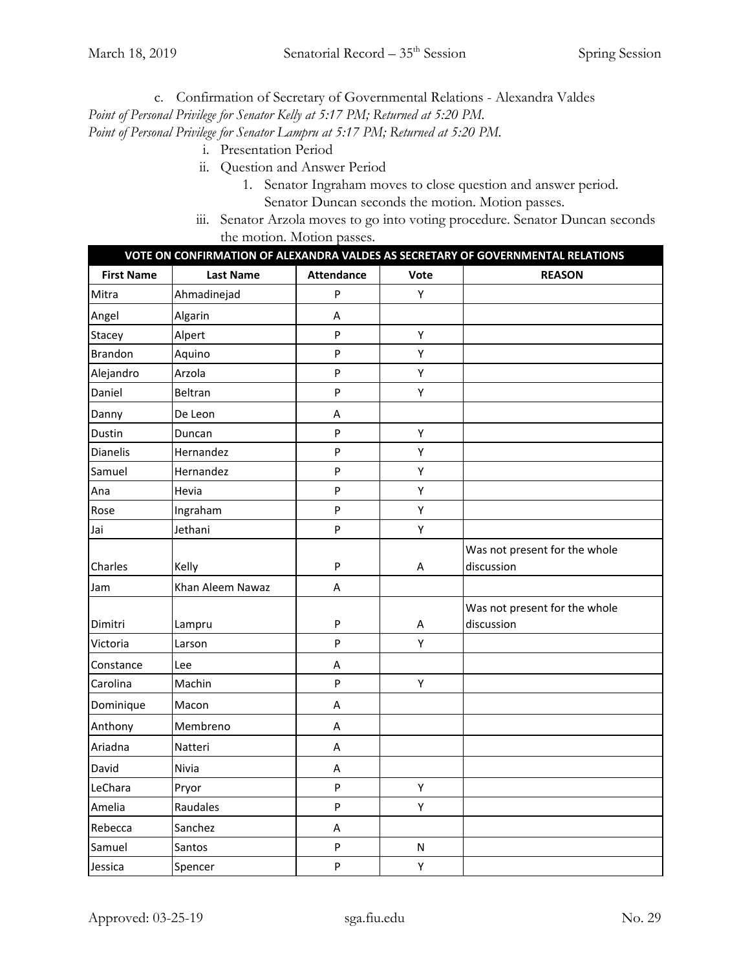c. Confirmation of Secretary of Governmental Relations - Alexandra Valdes

*Point of Personal Privilege for Senator Kelly at 5:17 PM; Returned at 5:20 PM.*

*Point of Personal Privilege for Senator Lampru at 5:17 PM; Returned at 5:20 PM.*

- i. Presentation Period
- ii. Question and Answer Period
	- 1. Senator Ingraham moves to close question and answer period. Senator Duncan seconds the motion. Motion passes.
- iii. Senator Arzola moves to go into voting procedure. Senator Duncan seconds the motion. Motion passes.

| VOTE ON CONFIRMATION OF ALEXANDRA VALDES AS SECRETARY OF GOVERNMENTAL RELATIONS |                  |                           |           |                                             |
|---------------------------------------------------------------------------------|------------------|---------------------------|-----------|---------------------------------------------|
| <b>First Name</b>                                                               | <b>Last Name</b> | <b>Attendance</b>         | Vote      | <b>REASON</b>                               |
| Mitra                                                                           | Ahmadinejad      | $\mathsf{P}$              | Υ         |                                             |
| Angel                                                                           | Algarin          | Α                         |           |                                             |
| Stacey                                                                          | Alpert           | $\mathsf{P}$              | Υ         |                                             |
| <b>Brandon</b>                                                                  | Aquino           | $\mathsf{P}$              | Υ         |                                             |
| Alejandro                                                                       | Arzola           | P                         | Υ         |                                             |
| Daniel                                                                          | Beltran          | ${\sf P}$                 | Υ         |                                             |
| Danny                                                                           | De Leon          | Α                         |           |                                             |
| Dustin                                                                          | Duncan           | ${\sf P}$                 | Υ         |                                             |
| Dianelis                                                                        | Hernandez        | $\sf P$                   | Υ         |                                             |
| Samuel                                                                          | Hernandez        | $\mathsf{P}$              | Υ         |                                             |
| Ana                                                                             | Hevia            | P                         | Υ         |                                             |
| Rose                                                                            | Ingraham         | $\sf P$                   | Υ         |                                             |
| Jai                                                                             | Jethani          | $\sf P$                   | Υ         |                                             |
| Charles                                                                         | Kelly            | $\mathsf{P}$              | А         | Was not present for the whole<br>discussion |
| Jam                                                                             | Khan Aleem Nawaz | A                         |           |                                             |
| Dimitri                                                                         | Lampru           | ${\sf P}$                 | A         | Was not present for the whole<br>discussion |
| Victoria                                                                        | Larson           | $\mathsf{P}$              | Υ         |                                             |
| Constance                                                                       | Lee              | Α                         |           |                                             |
| Carolina                                                                        | Machin           | $\sf P$                   | Y         |                                             |
| Dominique                                                                       | Macon            | Α                         |           |                                             |
| Anthony                                                                         | Membreno         | A                         |           |                                             |
| Ariadna                                                                         | Natteri          | Α                         |           |                                             |
| David                                                                           | Nivia            | $\boldsymbol{\mathsf{A}}$ |           |                                             |
| LeChara                                                                         | Pryor            | $\sf P$                   | Υ         |                                             |
| Amelia                                                                          | Raudales         | $\mathsf{P}$              | Υ         |                                             |
| Rebecca                                                                         | Sanchez          | A                         |           |                                             |
| Samuel                                                                          | Santos           | ${\sf P}$                 | ${\sf N}$ |                                             |
| Jessica                                                                         | Spencer          | P                         | Υ         |                                             |